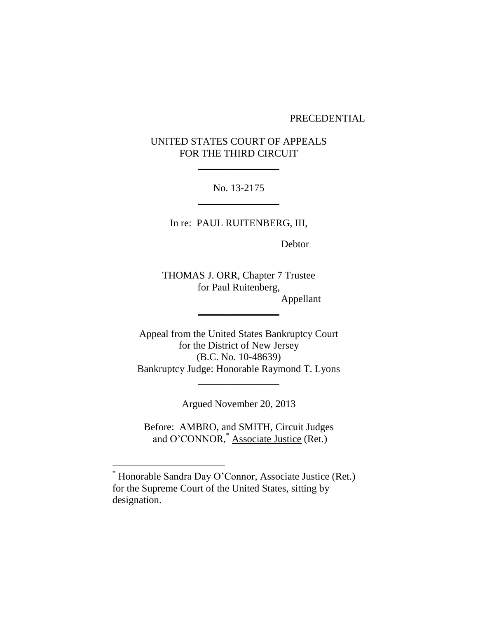## PRECEDENTIAL

## UNITED STATES COURT OF APPEALS FOR THE THIRD CIRCUIT

 $\frac{1}{2}$ 

No. 13-2175  $\frac{1}{2}$ 

In re: PAUL RUITENBERG, III,

Debtor

THOMAS J. ORR, Chapter 7 Trustee for Paul Ruitenberg, Appellant

 $\overline{\phantom{a}}$ 

Appeal from the United States Bankruptcy Court for the District of New Jersey (B.C. No. 10-48639) Bankruptcy Judge: Honorable Raymond T. Lyons

Argued November 20, 2013

 $\frac{1}{2}$ 

Before: AMBRO, and SMITH, Circuit Judges and O'CONNOR,\* Associate Justice (Ret.)

 $\overline{a}$ 

<sup>\*</sup> Honorable Sandra Day O'Connor, Associate Justice (Ret.) for the Supreme Court of the United States, sitting by designation.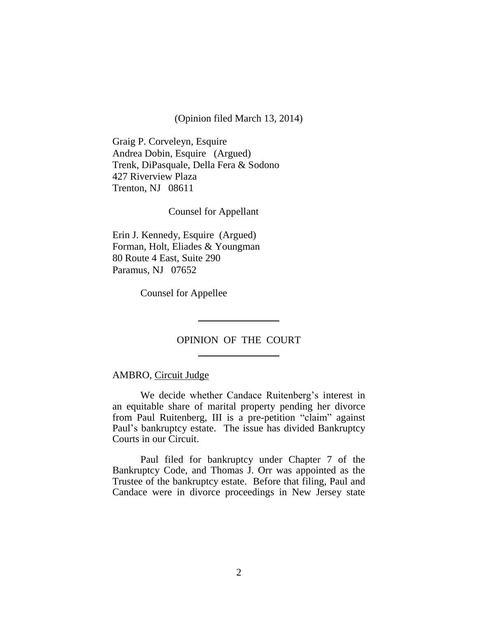(Opinion filed March 13, 2014)

Graig P. Corveleyn, Esquire Andrea Dobin, Esquire (Argued) Trenk, DiPasquale, Della Fera & Sodono 427 Riverview Plaza Trenton, NJ 08611

Counsel for Appellant

Erin J. Kennedy, Esquire (Argued) Forman, Holt, Eliades & Youngman 80 Route 4 East, Suite 290 Paramus, NJ 07652

Counsel for Appellee

## OPINION OF THE COURT  $\frac{1}{2}$

\_\_\_\_\_\_\_\_\_\_\_\_\_\_\_\_

## AMBRO, Circuit Judge

We decide whether Candace Ruitenberg's interest in an equitable share of marital property pending her divorce from Paul Ruitenberg, III is a pre-petition "claim" against Paul's bankruptcy estate. The issue has divided Bankruptcy Courts in our Circuit.

Paul filed for bankruptcy under Chapter 7 of the Bankruptcy Code, and Thomas J. Orr was appointed as the Trustee of the bankruptcy estate. Before that filing, Paul and Candace were in divorce proceedings in New Jersey state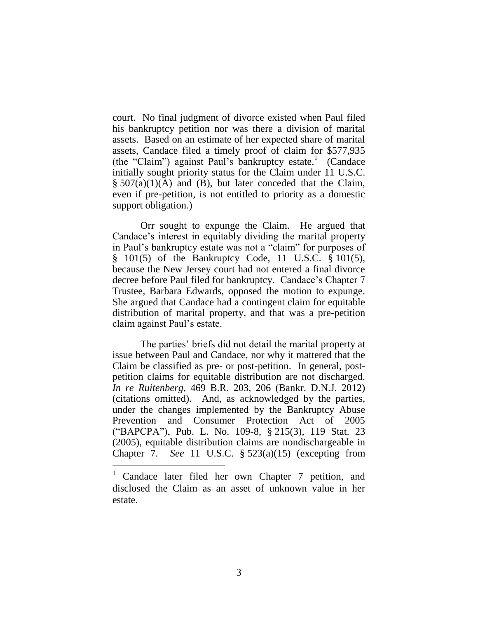court. No final judgment of divorce existed when Paul filed his bankruptcy petition nor was there a division of marital assets. Based on an estimate of her expected share of marital assets, Candace filed a timely proof of claim for \$577,935 (the "Claim") against Paul's bankruptcy estate.<sup>1</sup> (Candace initially sought priority status for the Claim under 11 U.S.C.  $\S$  507(a)(1)(A) and (B), but later conceded that the Claim, even if pre-petition, is not entitled to priority as a domestic support obligation.)

Orr sought to expunge the Claim. He argued that Candace's interest in equitably dividing the marital property in Paul's bankruptcy estate was not a "claim" for purposes of § 101(5) of the Bankruptcy Code, 11 U.S.C. § 101(5), because the New Jersey court had not entered a final divorce decree before Paul filed for bankruptcy. Candace's Chapter 7 Trustee, Barbara Edwards, opposed the motion to expunge. She argued that Candace had a contingent claim for equitable distribution of marital property, and that was a pre-petition claim against Paul's estate.

The parties' briefs did not detail the marital property at issue between Paul and Candace, nor why it mattered that the Claim be classified as pre- or post-petition. In general, postpetition claims for equitable distribution are not discharged. *In re Ruitenberg*, 469 B.R. 203, 206 (Bankr. D.N.J. 2012) (citations omitted). And, as acknowledged by the parties, under the changes implemented by the Bankruptcy Abuse Prevention and Consumer Protection Act of 2005 ("BAPCPA"), Pub. L. No. 109-8, § 215(3), 119 Stat. 23 (2005), equitable distribution claims are nondischargeable in Chapter 7. *See* 11 U.S.C. § 523(a)(15) (excepting from

 $\overline{a}$ 

Candace later filed her own Chapter 7 petition, and disclosed the Claim as an asset of unknown value in her estate.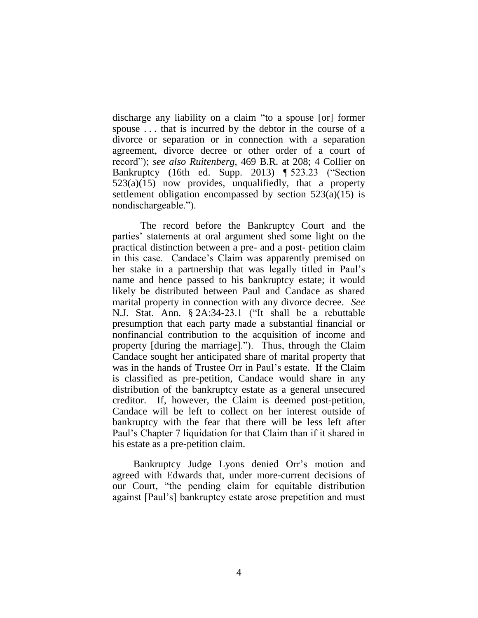discharge any liability on a claim "to a spouse [or] former spouse . . . that is incurred by the debtor in the course of a divorce or separation or in connection with a separation agreement, divorce decree or other order of a court of record"); *see also Ruitenberg*, 469 B.R. at 208; 4 Collier on Bankruptcy (16th ed. Supp. 2013) ¶ 523.23 ("Section  $523(a)(15)$  now provides, unqualifiedly, that a property settlement obligation encompassed by section  $523(a)(15)$  is nondischargeable.").

The record before the Bankruptcy Court and the parties' statements at oral argument shed some light on the practical distinction between a pre- and a post- petition claim in this case. Candace's Claim was apparently premised on her stake in a partnership that was legally titled in Paul's name and hence passed to his bankruptcy estate; it would likely be distributed between Paul and Candace as shared marital property in connection with any divorce decree. *See*  N.J. Stat. Ann. § 2A:34-23.1 ("It shall be a rebuttable presumption that each party made a substantial financial or nonfinancial contribution to the acquisition of income and property [during the marriage]."). Thus, through the Claim Candace sought her anticipated share of marital property that was in the hands of Trustee Orr in Paul's estate. If the Claim is classified as pre-petition, Candace would share in any distribution of the bankruptcy estate as a general unsecured creditor. If, however, the Claim is deemed post-petition, Candace will be left to collect on her interest outside of bankruptcy with the fear that there will be less left after Paul's Chapter 7 liquidation for that Claim than if it shared in his estate as a pre-petition claim.

Bankruptcy Judge Lyons denied Orr's motion and agreed with Edwards that, under more-current decisions of our Court, "the pending claim for equitable distribution against [Paul's] bankruptcy estate arose prepetition and must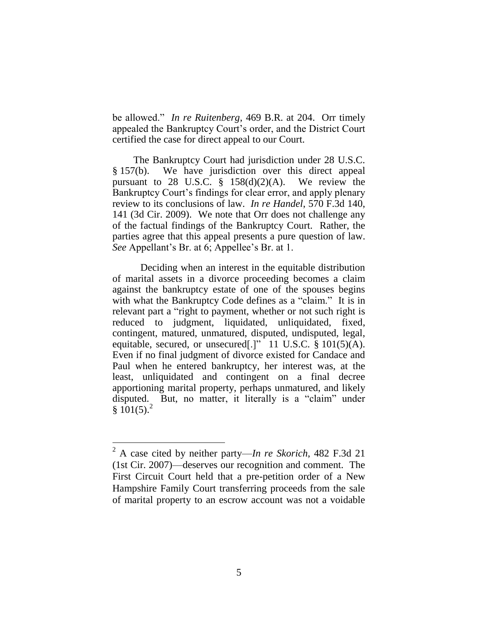be allowed." *In re Ruitenberg*, 469 B.R. at 204. Orr timely appealed the Bankruptcy Court's order, and the District Court certified the case for direct appeal to our Court.

The Bankruptcy Court had jurisdiction under 28 U.S.C. § 157(b). We have jurisdiction over this direct appeal pursuant to 28 U.S.C.  $\S$  158(d)(2)(A). We review the Bankruptcy Court's findings for clear error, and apply plenary review to its conclusions of law. *In re Handel*, 570 F.3d 140, 141 (3d Cir. 2009). We note that Orr does not challenge any of the factual findings of the Bankruptcy Court. Rather, the parties agree that this appeal presents a pure question of law. *See* Appellant's Br. at 6; Appellee's Br. at 1.

Deciding when an interest in the equitable distribution of marital assets in a divorce proceeding becomes a claim against the bankruptcy estate of one of the spouses begins with what the Bankruptcy Code defines as a "claim." It is in relevant part a "right to payment, whether or not such right is reduced to judgment, liquidated, unliquidated, fixed, contingent, matured, unmatured, disputed, undisputed, legal, equitable, secured, or unsecured[.]" 11 U.S.C. § 101(5)(A). Even if no final judgment of divorce existed for Candace and Paul when he entered bankruptcy, her interest was, at the least, unliquidated and contingent on a final decree apportioning marital property, perhaps unmatured, and likely disputed. But, no matter, it literally is a "claim" under  $§ 101(5).^{2}$ 

<sup>2</sup> A case cited by neither party—*In re Skorich*, 482 F.3d 21 (1st Cir. 2007)—deserves our recognition and comment. The First Circuit Court held that a pre-petition order of a New Hampshire Family Court transferring proceeds from the sale of marital property to an escrow account was not a voidable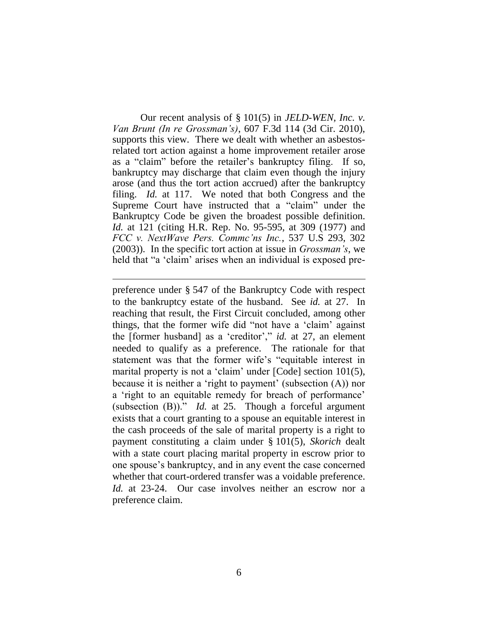Our recent analysis of § 101(5) in *JELD-WEN, Inc. v. Van Brunt (In re Grossman's)*, 607 F.3d 114 (3d Cir. 2010), supports this view. There we dealt with whether an asbestosrelated tort action against a home improvement retailer arose as a "claim" before the retailer's bankruptcy filing. If so, bankruptcy may discharge that claim even though the injury arose (and thus the tort action accrued) after the bankruptcy filing. *Id.* at 117. We noted that both Congress and the Supreme Court have instructed that a "claim" under the Bankruptcy Code be given the broadest possible definition. *Id.* at 121 (citing H.R. Rep. No. 95-595, at 309 (1977) and *FCC v. NextWave Pers. Commc'ns Inc.*, 537 U.S 293, 302 (2003)). In the specific tort action at issue in *Grossman's*, we held that "a 'claim' arises when an individual is exposed pre-

preference under § 547 of the Bankruptcy Code with respect to the bankruptcy estate of the husband. See *id.* at 27. In reaching that result, the First Circuit concluded, among other things, that the former wife did "not have a 'claim' against the [former husband] as a 'creditor'," *id.* at 27, an element needed to qualify as a preference. The rationale for that statement was that the former wife's "equitable interest in marital property is not a 'claim' under [Code] section 101(5), because it is neither a 'right to payment' (subsection (A)) nor a 'right to an equitable remedy for breach of performance' (subsection (B))." *Id.* at 25. Though a forceful argument exists that a court granting to a spouse an equitable interest in the cash proceeds of the sale of marital property is a right to payment constituting a claim under § 101(5), *Skorich* dealt with a state court placing marital property in escrow prior to one spouse's bankruptcy, and in any event the case concerned whether that court-ordered transfer was a voidable preference. *Id.* at 23-24. Our case involves neither an escrow nor a preference claim.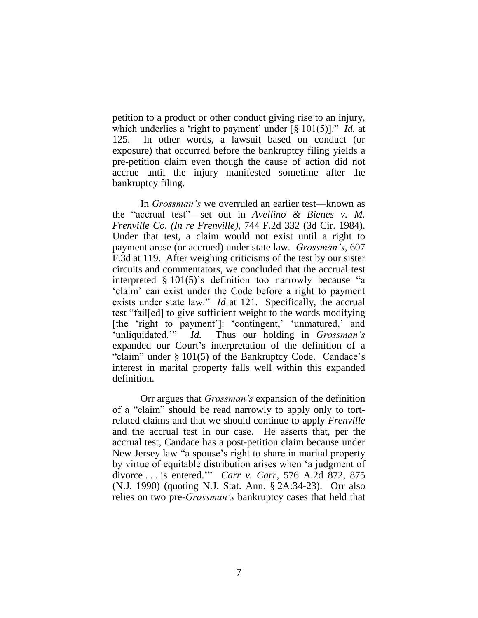petition to a product or other conduct giving rise to an injury, which underlies a 'right to payment' under [§ 101(5)]." *Id.* at 125. In other words, a lawsuit based on conduct (or exposure) that occurred before the bankruptcy filing yields a pre-petition claim even though the cause of action did not accrue until the injury manifested sometime after the bankruptcy filing.

In *Grossman's* we overruled an earlier test—known as the "accrual test"—set out in *Avellino & Bienes v. M. Frenville Co. (In re Frenville)*, 744 F.2d 332 (3d Cir. 1984). Under that test, a claim would not exist until a right to payment arose (or accrued) under state law. *Grossman's*, 607 F.3d at 119. After weighing criticisms of the test by our sister circuits and commentators, we concluded that the accrual test interpreted § 101(5)'s definition too narrowly because "a 'claim' can exist under the Code before a right to payment exists under state law." *Id* at 121*.* Specifically, the accrual test "fail[ed] to give sufficient weight to the words modifying [the 'right to payment']: 'contingent,' 'unmatured,' and 'unliquidated.'" *Id.* Thus our holding in *Grossman's* expanded our Court's interpretation of the definition of a "claim" under § 101(5) of the Bankruptcy Code. Candace's interest in marital property falls well within this expanded definition.

Orr argues that *Grossman's* expansion of the definition of a "claim" should be read narrowly to apply only to tortrelated claims and that we should continue to apply *Frenville* and the accrual test in our case. He asserts that, per the accrual test, Candace has a post-petition claim because under New Jersey law "a spouse's right to share in marital property by virtue of equitable distribution arises when 'a judgment of divorce . . . is entered.'" *Carr v. Carr*, 576 A.2d 872, 875 (N.J. 1990) (quoting N.J. Stat. Ann. § 2A:34-23). Orr also relies on two pre-*Grossman's* bankruptcy cases that held that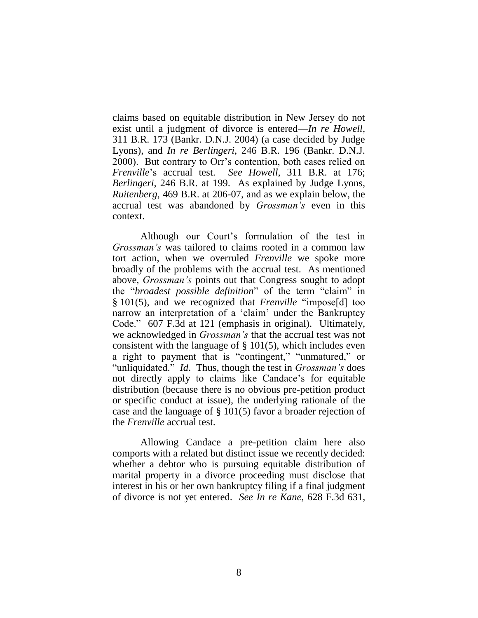claims based on equitable distribution in New Jersey do not exist until a judgment of divorce is entered—*In re Howell*, 311 B.R. 173 (Bankr. D.N.J. 2004) (a case decided by Judge Lyons), and *In re Berlingeri*, 246 B.R. 196 (Bankr. D.N.J. 2000). But contrary to Orr's contention, both cases relied on *Frenville*'s accrual test. *See Howell*, 311 B.R. at 176; *Berlingeri*, 246 B.R. at 199. As explained by Judge Lyons, *Ruitenberg*, 469 B.R. at 206-07, and as we explain below, the accrual test was abandoned by *Grossman's* even in this context.

Although our Court's formulation of the test in *Grossman's* was tailored to claims rooted in a common law tort action, when we overruled *Frenville* we spoke more broadly of the problems with the accrual test. As mentioned above, *Grossman's* points out that Congress sought to adopt the "*broadest possible definition*" of the term "claim" in § 101(5), and we recognized that *Frenville* "impose[d] too narrow an interpretation of a 'claim' under the Bankruptcy Code." 607 F.3d at 121 (emphasis in original). Ultimately, we acknowledged in *Grossman's* that the accrual test was not consistent with the language of  $\S$  101(5), which includes even a right to payment that is "contingent," "unmatured," or "unliquidated." *Id*. Thus, though the test in *Grossman's* does not directly apply to claims like Candace's for equitable distribution (because there is no obvious pre-petition product or specific conduct at issue), the underlying rationale of the case and the language of § 101(5) favor a broader rejection of the *Frenville* accrual test.

Allowing Candace a pre-petition claim here also comports with a related but distinct issue we recently decided: whether a debtor who is pursuing equitable distribution of marital property in a divorce proceeding must disclose that interest in his or her own bankruptcy filing if a final judgment of divorce is not yet entered. *See In re Kane*, 628 F.3d 631,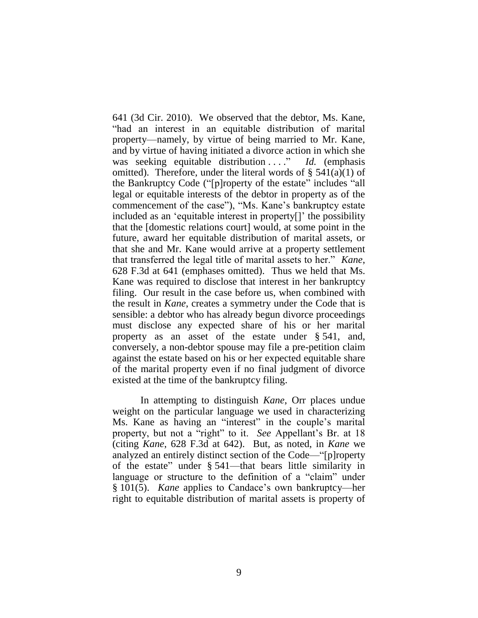641 (3d Cir. 2010). We observed that the debtor, Ms. Kane, "had an interest in an equitable distribution of marital property—namely, by virtue of being married to Mr. Kane, and by virtue of having initiated a divorce action in which she was seeking equitable distribution ...." *Id.* (emphasis omitted). Therefore, under the literal words of  $\S$  541(a)(1) of the Bankruptcy Code ("[p]roperty of the estate" includes "all legal or equitable interests of the debtor in property as of the commencement of the case"), "Ms. Kane's bankruptcy estate included as an 'equitable interest in property[]' the possibility that the [domestic relations court] would, at some point in the future, award her equitable distribution of marital assets, or that she and Mr. Kane would arrive at a property settlement that transferred the legal title of marital assets to her." *Kane*, 628 F.3d at 641 (emphases omitted). Thus we held that Ms. Kane was required to disclose that interest in her bankruptcy filing. Our result in the case before us, when combined with the result in *Kane*, creates a symmetry under the Code that is sensible: a debtor who has already begun divorce proceedings must disclose any expected share of his or her marital property as an asset of the estate under § 541, and, conversely, a non-debtor spouse may file a pre-petition claim against the estate based on his or her expected equitable share of the marital property even if no final judgment of divorce existed at the time of the bankruptcy filing.

In attempting to distinguish *Kane*, Orr places undue weight on the particular language we used in characterizing Ms. Kane as having an "interest" in the couple's marital property, but not a "right" to it. *See* Appellant's Br. at 18 (citing *Kane*, 628 F.3d at 642). But, as noted, in *Kane* we analyzed an entirely distinct section of the Code—"[p]roperty of the estate" under § 541—that bears little similarity in language or structure to the definition of a "claim" under § 101(5). *Kane* applies to Candace's own bankruptcy—her right to equitable distribution of marital assets is property of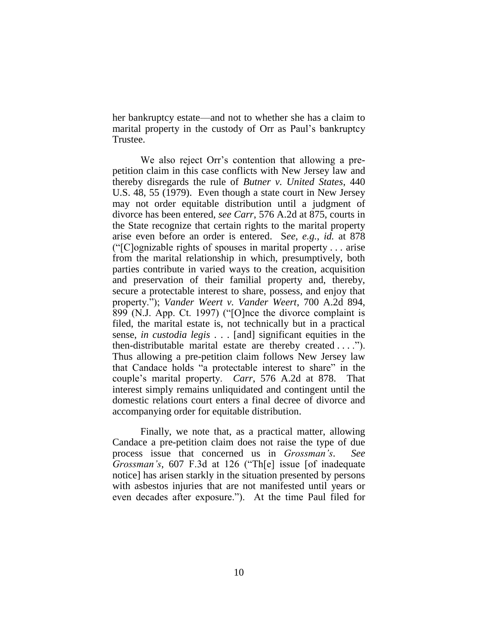her bankruptcy estate—and not to whether she has a claim to marital property in the custody of Orr as Paul's bankruptcy Trustee.

We also reject Orr's contention that allowing a prepetition claim in this case conflicts with New Jersey law and thereby disregards the rule of *Butner v. United States*, 440 U.S. 48, 55 (1979). Even though a state court in New Jersey may not order equitable distribution until a judgment of divorce has been entered, *see Carr*, 576 A.2d at 875, courts in the State recognize that certain rights to the marital property arise even before an order is entered. S*ee, e.g.*, *id.* at 878 ("[C]ognizable rights of spouses in marital property . . . arise from the marital relationship in which, presumptively, both parties contribute in varied ways to the creation, acquisition and preservation of their familial property and, thereby, secure a protectable interest to share, possess, and enjoy that property."); *Vander Weert v. Vander Weert*, 700 A.2d 894, 899 (N.J. App. Ct. 1997) ("[O]nce the divorce complaint is filed, the marital estate is, not technically but in a practical sense, *in custodia legis* . . . [and] significant equities in the then-distributable marital estate are thereby created . . . ."). Thus allowing a pre-petition claim follows New Jersey law that Candace holds "a protectable interest to share" in the couple's marital property. *Carr*, 576 A.2d at 878. That interest simply remains unliquidated and contingent until the domestic relations court enters a final decree of divorce and accompanying order for equitable distribution.

Finally, we note that, as a practical matter, allowing Candace a pre-petition claim does not raise the type of due process issue that concerned us in *Grossman's*. *See Grossman's*, 607 F.3d at 126 ("Th[e] issue [of inadequate notice] has arisen starkly in the situation presented by persons with asbestos injuries that are not manifested until years or even decades after exposure."). At the time Paul filed for